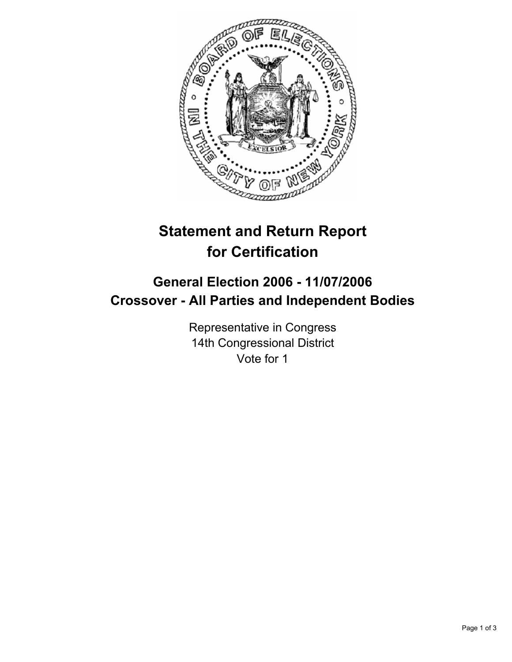

# **Statement and Return Report for Certification**

## **General Election 2006 - 11/07/2006 Crossover - All Parties and Independent Bodies**

Representative in Congress 14th Congressional District Vote for 1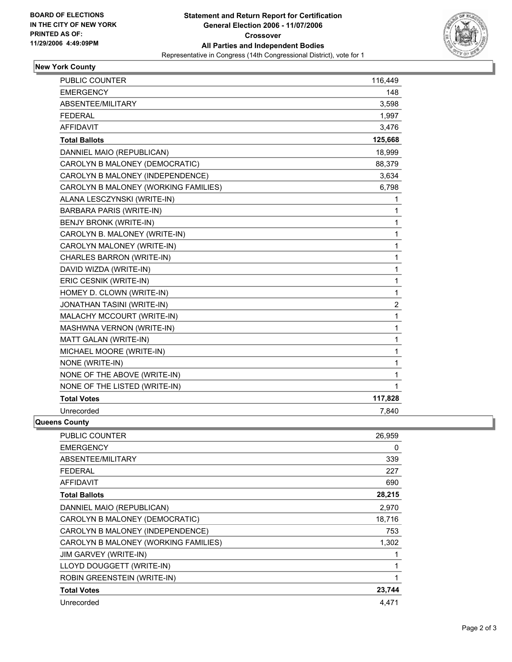

### **New York County**

| <b>PUBLIC COUNTER</b>                | 116,449          |
|--------------------------------------|------------------|
| <b>EMERGENCY</b>                     | 148              |
| ABSENTEE/MILITARY                    | 3,598            |
| <b>FEDERAL</b>                       | 1,997            |
| <b>AFFIDAVIT</b>                     | 3,476            |
| <b>Total Ballots</b>                 | 125,668          |
| DANNIEL MAIO (REPUBLICAN)            | 18,999           |
| CAROLYN B MALONEY (DEMOCRATIC)       | 88,379           |
| CAROLYN B MALONEY (INDEPENDENCE)     | 3,634            |
| CAROLYN B MALONEY (WORKING FAMILIES) | 6,798            |
| ALANA LESCZYNSKI (WRITE-IN)          | 1                |
| <b>BARBARA PARIS (WRITE-IN)</b>      | 1                |
| <b>BENJY BRONK (WRITE-IN)</b>        | 1                |
| CAROLYN B. MALONEY (WRITE-IN)        | 1                |
| CAROLYN MALONEY (WRITE-IN)           | 1                |
| CHARLES BARRON (WRITE-IN)            | 1                |
| DAVID WIZDA (WRITE-IN)               | 1                |
| ERIC CESNIK (WRITE-IN)               | 1                |
| HOMEY D. CLOWN (WRITE-IN)            | 1                |
| <b>JONATHAN TASINI (WRITE-IN)</b>    | $\boldsymbol{2}$ |
| MALACHY MCCOURT (WRITE-IN)           | 1                |
| MASHWNA VERNON (WRITE-IN)            | $\mathbf{1}$     |
| MATT GALAN (WRITE-IN)                | 1                |
| MICHAEL MOORE (WRITE-IN)             | 1                |
| NONE (WRITE-IN)                      | 1                |
| NONE OF THE ABOVE (WRITE-IN)         | 1                |
| NONE OF THE LISTED (WRITE-IN)        | $\mathbf 1$      |
| <b>Total Votes</b>                   | 117,828          |
| Unrecorded                           | 7,840            |

### **Queens County**

| <b>PUBLIC COUNTER</b>                | 26,959 |
|--------------------------------------|--------|
| <b>EMERGENCY</b>                     | 0      |
| ABSENTEE/MILITARY                    | 339    |
| <b>FEDERAL</b>                       | 227    |
| <b>AFFIDAVIT</b>                     | 690    |
| <b>Total Ballots</b>                 | 28,215 |
| DANNIEL MAIO (REPUBLICAN)            | 2,970  |
| CAROLYN B MALONEY (DEMOCRATIC)       | 18,716 |
| CAROLYN B MALONEY (INDEPENDENCE)     | 753    |
| CAROLYN B MALONEY (WORKING FAMILIES) | 1,302  |
| <b>JIM GARVEY (WRITE-IN)</b>         |        |
| LLOYD DOUGGETT (WRITE-IN)            |        |
| ROBIN GREENSTEIN (WRITE-IN)          |        |
| <b>Total Votes</b>                   | 23,744 |
| Unrecorded                           | 4,471  |